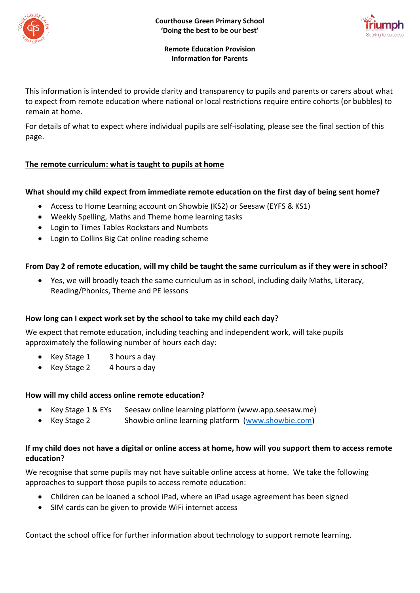



#### **Remote Education Provision Information for Parents**

This information is intended to provide clarity and transparency to pupils and parents or carers about what to expect from remote education where national or local restrictions require entire cohorts (or bubbles) to remain at home.

For details of what to expect where individual pupils are self-isolating, please see the final section of this page.

# **The remote curriculum: what is taught to pupils at home**

### **What should my child expect from immediate remote education on the first day of being sent home?**

- Access to Home Learning account on Showbie (KS2) or Seesaw (EYFS & KS1)
- Weekly Spelling, Maths and Theme home learning tasks
- Login to Times Tables Rockstars and Numbots
- Login to Collins Big Cat online reading scheme

### **From Day 2 of remote education, will my child be taught the same curriculum as if they were in school?**

• Yes, we will broadly teach the same curriculum as in school, including daily Maths, Literacy, Reading/Phonics, Theme and PE lessons

### **How long can I expect work set by the school to take my child each day?**

We expect that remote education, including teaching and independent work, will take pupils approximately the following number of hours each day:

- Key Stage 1 3 hours a day
- Key Stage 2 4 hours a day

### **How will my child access online remote education?**

- Key Stage 1 & EYs Seesaw online learning platform (www.app.seesaw.me)
- Key Stage 2 Showbie online learning platform [\(www.showbie.com\)](http://www.showbie.com/)

#### **If my child does not have a digital or online access at home, how will you support them to access remote education?**

We recognise that some pupils may not have suitable online access at home. We take the following approaches to support those pupils to access remote education:

- Children can be loaned a school iPad, where an iPad usage agreement has been signed
- SIM cards can be given to provide WiFi internet access

Contact the school office for further information about technology to support remote learning.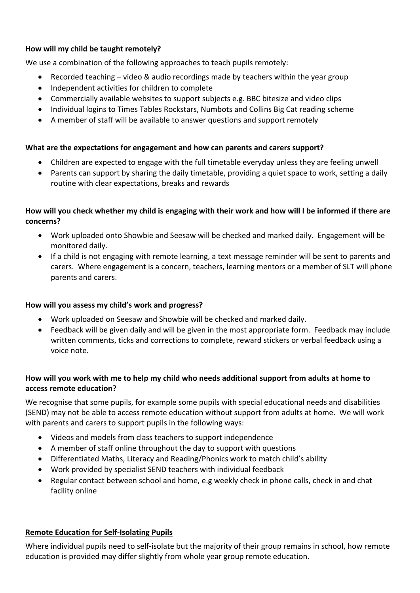## **How will my child be taught remotely?**

We use a combination of the following approaches to teach pupils remotely:

- Recorded teaching video & audio recordings made by teachers within the year group
- Independent activities for children to complete
- Commercially available websites to support subjects e.g. BBC bitesize and video clips
- Individual logins to Times Tables Rockstars, Numbots and Collins Big Cat reading scheme
- A member of staff will be available to answer questions and support remotely

### **What are the expectations for engagement and how can parents and carers support?**

- Children are expected to engage with the full timetable everyday unless they are feeling unwell
- Parents can support by sharing the daily timetable, providing a quiet space to work, setting a daily routine with clear expectations, breaks and rewards

### **How will you check whether my child is engaging with their work and how will I be informed if there are concerns?**

- Work uploaded onto Showbie and Seesaw will be checked and marked daily. Engagement will be monitored daily.
- If a child is not engaging with remote learning, a text message reminder will be sent to parents and carers. Where engagement is a concern, teachers, learning mentors or a member of SLT will phone parents and carers.

### **How will you assess my child's work and progress?**

- Work uploaded on Seesaw and Showbie will be checked and marked daily.
- Feedback will be given daily and will be given in the most appropriate form. Feedback may include written comments, ticks and corrections to complete, reward stickers or verbal feedback using a voice note.

### **How will you work with me to help my child who needs additional support from adults at home to access remote education?**

We recognise that some pupils, for example some pupils with special educational needs and disabilities (SEND) may not be able to access remote education without support from adults at home. We will work with parents and carers to support pupils in the following ways:

- Videos and models from class teachers to support independence
- A member of staff online throughout the day to support with questions
- Differentiated Maths, Literacy and Reading/Phonics work to match child's ability
- Work provided by specialist SEND teachers with individual feedback
- Regular contact between school and home, e.g weekly check in phone calls, check in and chat facility online

### **Remote Education for Self-Isolating Pupils**

Where individual pupils need to self-isolate but the majority of their group remains in school, how remote education is provided may differ slightly from whole year group remote education.